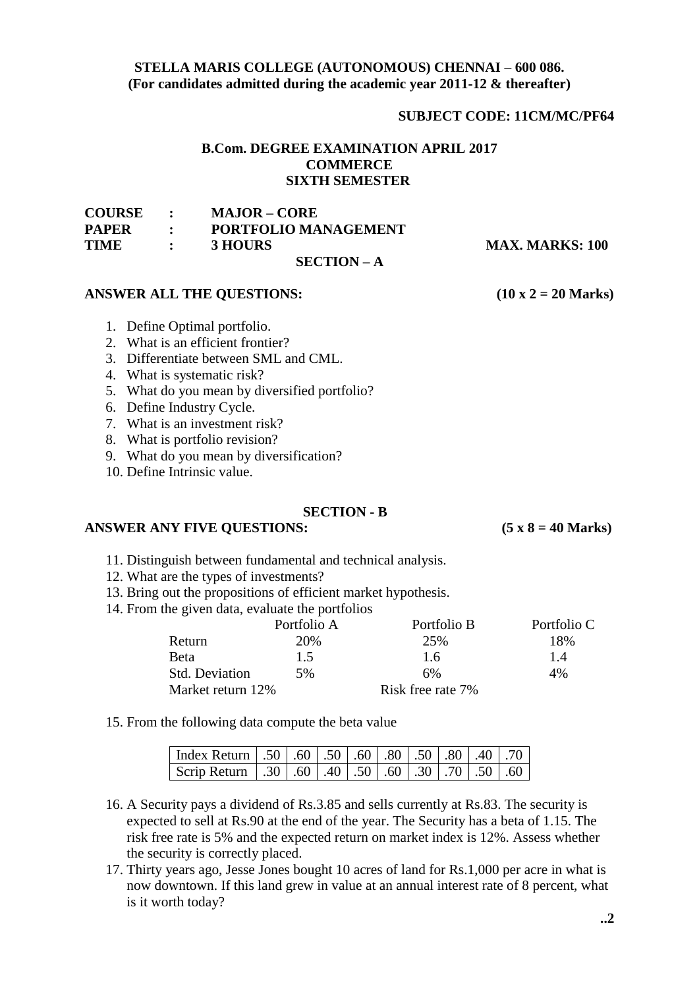## **STELLA MARIS COLLEGE (AUTONOMOUS) CHENNAI – 600 086. (For candidates admitted during the academic year 2011-12 & thereafter)**

## **SUBJECT CODE: 11CM/MC/PF64**

# **B.Com. DEGREE EXAMINATION APRIL 2017 COMMERCE SIXTH SEMESTER**

| <b>COURSE :</b> |                                           | MAJOR – CORE         |                        |
|-----------------|-------------------------------------------|----------------------|------------------------|
| <b>PAPER</b>    | $-1.001$ $+ 1.001$                        | PORTFOLIO MANAGEMENT |                        |
| TIME            | $\mathcal{L} = \mathcal{L} = \mathcal{L}$ | <b>3 HOURS</b>       | <b>MAX. MARKS: 100</b> |
|                 |                                           | $SECTION - A$        |                        |

## ANSWER ALL THE QUESTIONS: (10 x 2 = 20 Marks)

- 1. Define Optimal portfolio.
- 2. What is an efficient frontier?
- 3. Differentiate between SML and CML.
- 4. What is systematic risk?
- 5. What do you mean by diversified portfolio?
- 6. Define Industry Cycle.
- 7. What is an investment risk?
- 8. What is portfolio revision?
- 9. What do you mean by diversification?
- 10. Define Intrinsic value.

#### **SECTION - B**

### **ANSWER ANY FIVE QUESTIONS: (5 x 8 = 40 Marks)**

- 11. Distinguish between fundamental and technical analysis.
- 12. What are the types of investments?
- 13. Bring out the propositions of efficient market hypothesis.
- 14. From the given data, evaluate the portfolios

|                       | Portfolio A | Portfolio B       | Portfolio C |
|-----------------------|-------------|-------------------|-------------|
| Return                | 20%         | 25%               | 18%         |
| Beta                  | 1.5         | 1.6               | 1.4         |
| <b>Std. Deviation</b> | 5%          | 6%                | 4%          |
| Market return 12%     |             | Risk free rate 7% |             |

15. From the following data compute the beta value

| Index Return   .50   .60   .50   .60   .80   .50   .80   .40   .70 |  |  |  |  |  |
|--------------------------------------------------------------------|--|--|--|--|--|
| Scrip Return 30 .60 .40 .50 .60 .30 .70 .50 .60                    |  |  |  |  |  |

- 16. A Security pays a dividend of Rs.3.85 and sells currently at Rs.83. The security is expected to sell at Rs.90 at the end of the year. The Security has a beta of 1.15. The risk free rate is 5% and the expected return on market index is 12%. Assess whether the security is correctly placed.
- 17. Thirty years ago, Jesse Jones bought 10 acres of land for Rs.1,000 per acre in what is now downtown. If this land grew in value at an annual interest rate of 8 percent, what is it worth today?